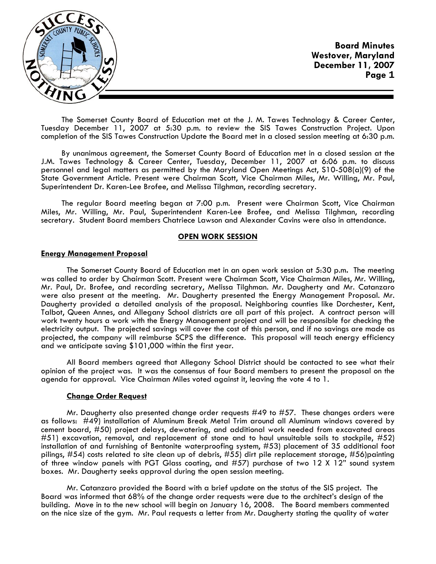

The Somerset County Board of Education met at the J. M. Tawes Technology & Career Center, Tuesday December 11, 2007 at 5:30 p.m. to review the SIS Tawes Construction Project. Upon completion of the SIS Tawes Construction Update the Board met in a closed session meeting at 6:30 p.m.

By unanimous agreement, the Somerset County Board of Education met in a closed session at the J.M. Tawes Technology & Career Center, Tuesday, December 11, 2007 at 6:06 p.m. to discuss personnel and legal matters as permitted by the Maryland Open Meetings Act, S10-508(a)(9) of the State Government Article. Present were Chairman Scott, Vice Chairman Miles, Mr. Willing, Mr. Paul, Superintendent Dr. Karen-Lee Brofee, and Melissa Tilghman, recording secretary.

The regular Board meeting began at 7:00 p.m. Present were Chairman Scott, Vice Chairman Miles, Mr. Willing, Mr. Paul, Superintendent Karen-Lee Brofee, and Melissa Tilghman, recording secretary. Student Board members Chatriece Lawson and Alexander Cavins were also in attendance.

#### **OPEN WORK SESSION**

#### **Energy Management Proposal**

 The Somerset County Board of Education met in an open work session at 5:30 p.m**.** The meeting was called to order by Chairman Scott. Present were Chairman Scott, Vice Chairman Miles, Mr. Willing, Mr. Paul, Dr. Brofee, and recording secretary, Melissa Tilghman. Mr. Daugherty and Mr. Catanzaro were also present at the meeting. Mr. Daugherty presented the Energy Management Proposal. Mr. Daugherty provided a detailed analysis of the proposal. Neighboring counties like Dorchester, Kent, Talbot, Queen Annes, and Allegany School districts are all part of this project. A contract person will work twenty hours a work with the Energy Management project and will be responsible for checking the electricity output. The projected savings will cover the cost of this person, and if no savings are made as projected, the company will reimburse SCPS the difference. This proposal will teach energy efficiency and we anticipate saving \$101,000 within the first year.

 All Board members agreed that Allegany School District should be contacted to see what their opinion of the project was. It was the consensus of four Board members to present the proposal on the agenda for approval. Vice Chairman Miles voted against it, leaving the vote 4 to 1.

#### **Change Order Request**

 Mr. Daugherty also presented change order requests #49 to #57. These changes orders were as follows: #49) installation of Aluminum Break Metal Trim around all Aluminum windows covered by cement board, #50) project delays, dewatering, and additional work needed from excavated areas #51) excavation, removal, and replacement of stone and to haul unsuitable soils to stockpile, #52) installation of and furnishing of Bentonite waterproofing system, #53) placement of 35 additional foot pilings, #54) costs related to site clean up of debris, #55) dirt pile replacement storage, #56)painting of three window panels with PGT Glass coating, and #57) purchase of two 12 X 12" sound system boxes. Mr. Daugherty seeks approval during the open session meeting.

 Mr. Catanzaro provided the Board with a brief update on the status of the SIS project. The Board was informed that 68% of the change order requests were due to the architect's design of the building. Move in to the new school will begin on January 16, 2008. The Board members commented on the nice size of the gym. Mr. Paul requests a letter from Mr. Daugherty stating the quality of water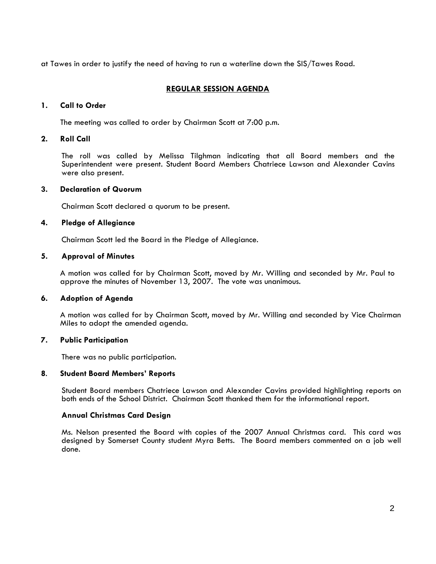at Tawes in order to justify the need of having to run a waterline down the SIS/Tawes Road.

# **REGULAR SESSION AGENDA**

# **1. Call to Order**

The meeting was called to order by Chairman Scott at 7:00 p.m.

# **2. Roll Call**

The roll was called by Melissa Tilghman indicating that all Board members and the Superintendent were present. Student Board Members Chatriece Lawson and Alexander Cavins were also present.

# **3. Declaration of Quorum**

Chairman Scott declared a quorum to be present.

# **4. Pledge of Allegiance**

Chairman Scott led the Board in the Pledge of Allegiance.

#### **5. Approval of Minutes**

 A motion was called for by Chairman Scott, moved by Mr. Willing and seconded by Mr. Paul to approve the minutes of November 13, 2007. The vote was unanimous.

# **6. Adoption of Agenda**

 A motion was called for by Chairman Scott, moved by Mr. Willing and seconded by Vice Chairman Miles to adopt the amended agenda.

# **7. Public Participation**

There was no public participation.

#### **8**. **Student Board Members' Reports**

 Student Board members Chatriece Lawson and Alexander Cavins provided highlighting reports on both ends of the School District. Chairman Scott thanked them for the informational report.

# **Annual Christmas Card Design**

 Ms. Nelson presented the Board with copies of the 2007 Annual Christmas card. This card was designed by Somerset County student Myra Betts. The Board members commented on a job well done.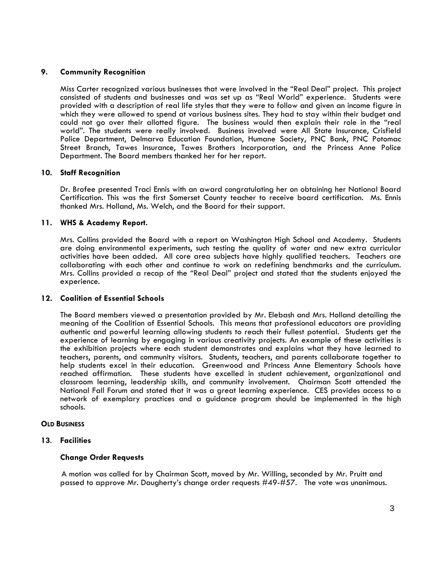# **9. Community Recognition**

Miss Carter recognized various businesses that were involved in the "Real Deal" project. This project consisted of students and businesses and was set up as "Real World" experience. Students were provided with a description of real life styles that they were to follow and given an income figure in which they were allowed to spend at various business sites. They had to stay within their budget and could not go over their allotted figure. The business would then explain their role in the "real world". The students were really involved. Business involved were All State Insurance, Crisfield Police Department, Delmarva Education Foundation, Humane Society, PNC Bank, PNC Potomac Street Branch, Tawes Insurance, Tawes Brothers Incorporation, and the Princess Anne Police Department. The Board members thanked her for her report.

# **10. Staff Recognition**

Dr. Brofee presented Traci Ennis with an award congratulating her on obtaining her National Board Certification. This was the first Somerset County teacher to receive board certification. Ms. Ennis thanked Mrs. Holland, Ms. Welch, and the Board for their support.

# **11. WHS & Academy Report.**

Mrs. Collins provided the Board with a report on Washington High School and Academy. Students are doing environmental experiments, such testing the quality of water and new extra curricular activities have been added. All core area subjects have highly qualified teachers. Teachers are collaborating with each other and continue to work on redefining benchmarks and the curriculum. Mrs. Collins provided a recap of the "Real Deal" project and stated that the students enjoyed the experience.

# **12. Coalition of Essential Schools**

The Board members viewed a presentation provided by Mr. Elebash and Mrs. Holland detailing the meaning of the Coalition of Essential Schools. This means that professional educators are providing authentic and powerful learning allowing students to reach their fullest potential. Students get the experience of learning by engaging in various creativity projects. An example of these activities is the exhibition projects where each student demonstrates and explains what they have learned to teachers, parents, and community visitors. Students, teachers, and parents collaborate together to help students excel in their education. Greenwood and Princess Anne Elementary Schools have reached affirmation. These students have excelled in student achievement, organizational and classroom learning, leadership skills, and community involvement. Chairman Scott attended the National Fall Forum and stated that it was a great learning experience. CES provides access to a network of exemplary practices and a guidance program should be implemented in the high schools.

# **OLD BUSINESS**

# **<sup>13</sup>**. **Facilities Change Order Requests**

 A motion was called for by Chairman Scott, moved by Mr. Willing, seconded by Mr. Pruitt and passed to approve Mr. Daugherty's change order requests #49-#57. The vote was unanimous.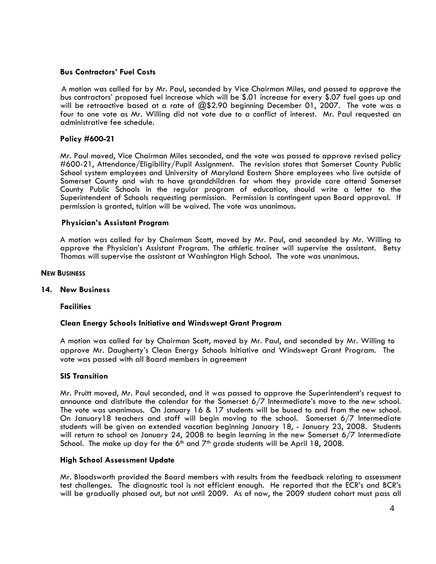# **Bus Contractors' Fuel Costs**

 A motion was called for by Mr. Paul, seconded by Vice Chairman Miles, and passed to approve the bus contractors' proposed fuel increase which will be \$.01 increase for every \$.07 fuel goes up and will be retroactive based at a rate of @\$2.90 beginning December 01, 2007. The vote was a four to one vote as Mr. Willing did not vote due to a conflict of interest. Mr. Paul requested an administrative fee schedule.

# **Policy #600-21**

Mr. Paul moved, Vice Chairman Miles seconded, and the vote was passed to approve revised policy #600-21, Attendance/Eligibility/Pupil Assignment. The revision states that Somerset County Public School system employees and University of Maryland Eastern Shore employees who live outside of Somerset County and wish to have grandchildren for whom they provide care attend Somerset County Public Schools in the regular program of education, should write a letter to the Superintendent of Schools requesting permission. Permission is contingent upon Board approval. If permission is granted, tuition will be waived. The vote was unanimous.

# **Physician's Assistant Program**

A motion was called for by Chairman Scott, moved by Mr. Paul, and seconded by Mr. Willing to approve the Physician's Assistant Program. The athletic trainer will supervise the assistant. Betsy Thomas will supervise the assistant at Washington High School. The vote was unanimous.

#### **NEW BUSINESS**

#### **14. New Business**

#### **Facilities**

# **Clean Energy Schools Initiative and Windswept Grant Program**

A motion was called for by Chairman Scott, moved by Mr. Paul, and seconded by Mr. Willing to approve Mr. Daugherty's Clean Energy Schools Initiative and Windswept Grant Program. The vote was passed with all Board members in agreement

#### **SIS Transition**

Mr. Pruitt moved, Mr. Paul seconded, and it was passed to approve the Superintendent's request to announce and distribute the calendar for the Somerset 6/7 Intermediate's move to the new school. The vote was unanimous. On January 16 & 17 students will be bused to and from the new school. On January18 teachers and staff will begin moving to the school. Somerset 6/7 Intermediate students will be given an extended vacation beginning January 18, - January 23, 2008. Students will return to school on January 24, 2008 to begin learning in the new Somerset 6/7 Intermediate School. The make up day for the 6<sup>th</sup> and  $7<sup>th</sup>$  grade students will be April 18, 2008.

# **High School Assessment Update**

Mr. Bloodsworth provided the Board members with results from the feedback relating to assessment test challenges. The diagnostic tool is not efficient enough. He reported that the ECR's and BCR's will be gradually phased out, but not until 2009. As of now, the 2009 student cohort must pass all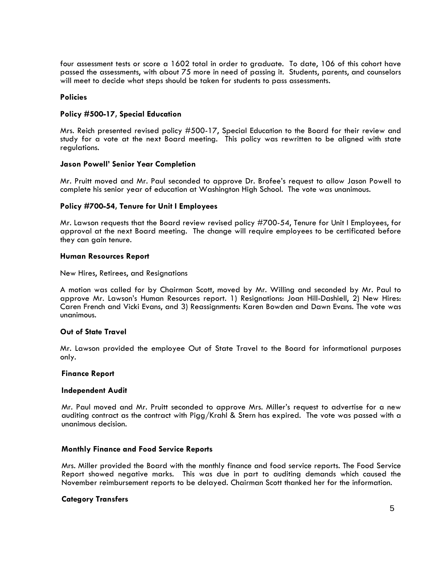four assessment tests or score a 1602 total in order to graduate. To date, 106 of this cohort have passed the assessments, with about 75 more in need of passing it. Students, parents, and counselors will meet to decide what steps should be taken for students to pass assessments.

#### **Policies**

#### **Policy #500-17, Special Education**

Mrs. Reich presented revised policy #500-17, Special Education to the Board for their review and study for a vote at the next Board meeting. This policy was rewritten to be aligned with state regulations.

#### **Jason Powell' Senior Year Completion**

Mr. Pruitt moved and Mr. Paul seconded to approve Dr. Brofee's request to allow Jason Powell to complete his senior year of education at Washington High School. The vote was unanimous.

# **Policy #700-54, Tenure for Unit I Employees**

Mr. Lawson requests that the Board review revised policy #700-54, Tenure for Unit I Employees, for approval at the next Board meeting. The change will require employees to be certificated before they can gain tenure.

#### **Human Resources Report**

New Hires, Retirees, and Resignations

A motion was called for by Chairman Scott, moved by Mr. Willing and seconded by Mr. Paul to approve Mr. Lawson's Human Resources report. 1) Resignations: Joan Hill-Dashiell, 2) New Hires: Caren French and Vicki Evans, and 3) Reassignments: Karen Bowden and Dawn Evans. The vote was unanimous.

#### **Out of State Travel**

Mr. Lawson provided the employee Out of State Travel to the Board for informational purposes only.

#### **Finance Report**

#### **Independent Audit**

Mr. Paul moved and Mr. Pruitt seconded to approve Mrs. Miller's request to advertise for a new auditing contract as the contract with Pigg/Krahl & Stern has expired. The vote was passed with a unanimous decision.

#### **Monthly Finance and Food Service Reports**

Mrs. Miller provided the Board with the monthly finance and food service reports. The Food Service Report showed negative marks. This was due in part to auditing demands which caused the November reimbursement reports to be delayed. Chairman Scott thanked her for the information.

# **Category Transfers**